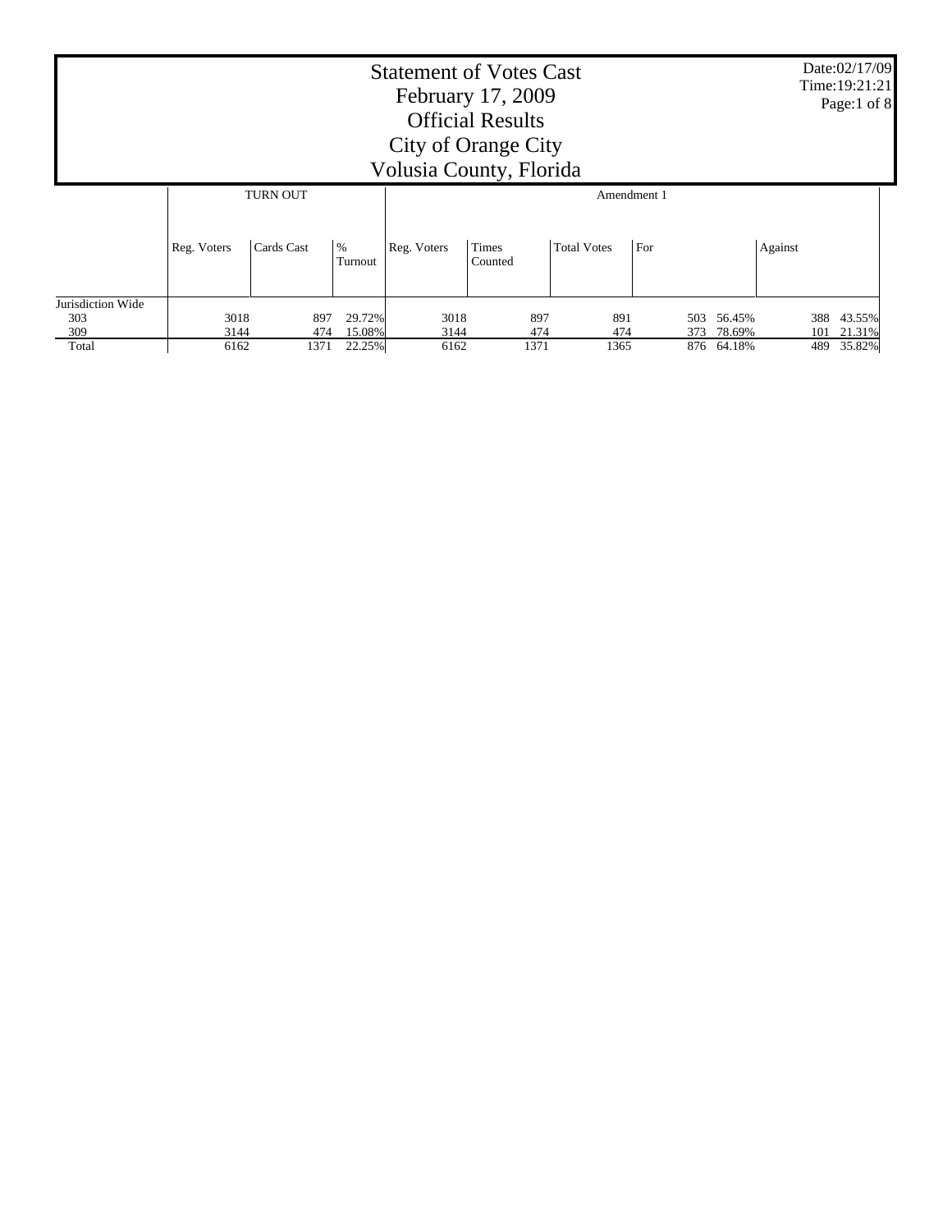| <b>Statement of Votes Cast</b><br>February 17, 2009<br><b>Official Results</b><br>City of Orange City<br>Volusia County, Florida |                 |             |                  |              |                  |             |         |                      |  |            | Date:02/17/09<br>Time: 19:21:21<br>Page:1 of 8 |
|----------------------------------------------------------------------------------------------------------------------------------|-----------------|-------------|------------------|--------------|------------------|-------------|---------|----------------------|--|------------|------------------------------------------------|
|                                                                                                                                  | <b>TURN OUT</b> |             |                  |              |                  | Amendment 1 |         |                      |  |            |                                                |
|                                                                                                                                  | Reg. Voters     | Cards Cast  | $\%$<br>Turnout  | Reg. Voters  | Times<br>Counted |             | Against |                      |  |            |                                                |
| Jurisdiction Wide<br>303                                                                                                         | 3018            | 897         | 29.72%           | 3018         | 897              | 891         | 503     | 56.45%               |  | 388        | 43.55%                                         |
| 309<br>Total                                                                                                                     | 3144<br>6162    | 474<br>1371 | 15.08%<br>22.25% | 3144<br>6162 | 474<br>1371      | 474<br>1365 | 373     | 78.69%<br>876 64.18% |  | 101<br>489 | 21.31%<br>35.82%                               |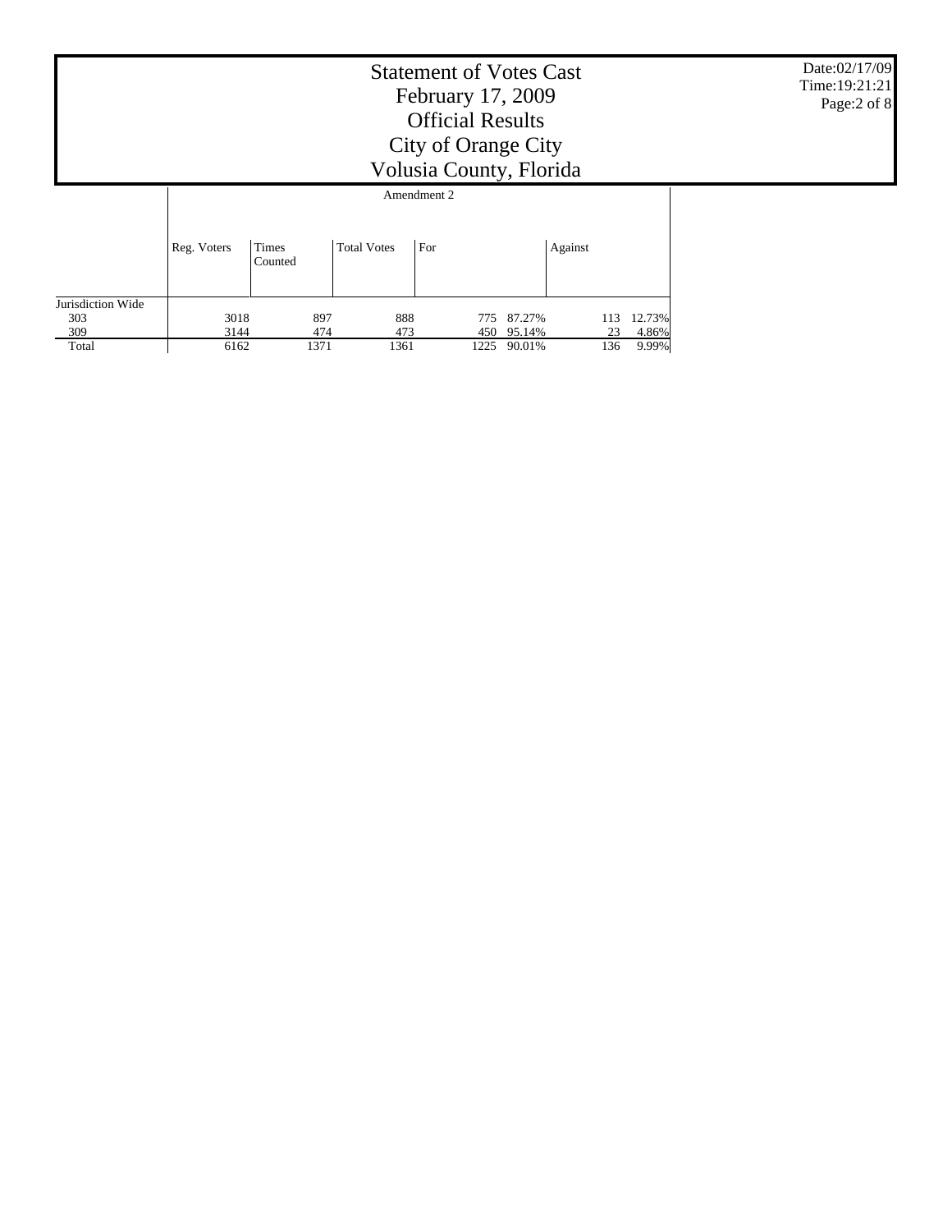|                                 |              | Date:02/17/09<br>Time: 19:21:21<br>Page:2 of 8 |                    |             |                  |         |                              |  |
|---------------------------------|--------------|------------------------------------------------|--------------------|-------------|------------------|---------|------------------------------|--|
|                                 |              |                                                |                    | Amendment 2 |                  |         |                              |  |
|                                 | Reg. Voters  | Times<br>Counted                               | <b>Total Votes</b> | For         |                  | Against |                              |  |
| Jurisdiction Wide<br>303<br>309 | 3018<br>3144 | 897<br>474                                     | 888<br>473         | 775<br>450  | 87.27%<br>95.14% |         | 12.73%<br>113<br>4.86%<br>23 |  |
| Total                           | 6162         | 1371                                           | 1361               | 1225        | 90.01%           |         | 136<br>9.99%                 |  |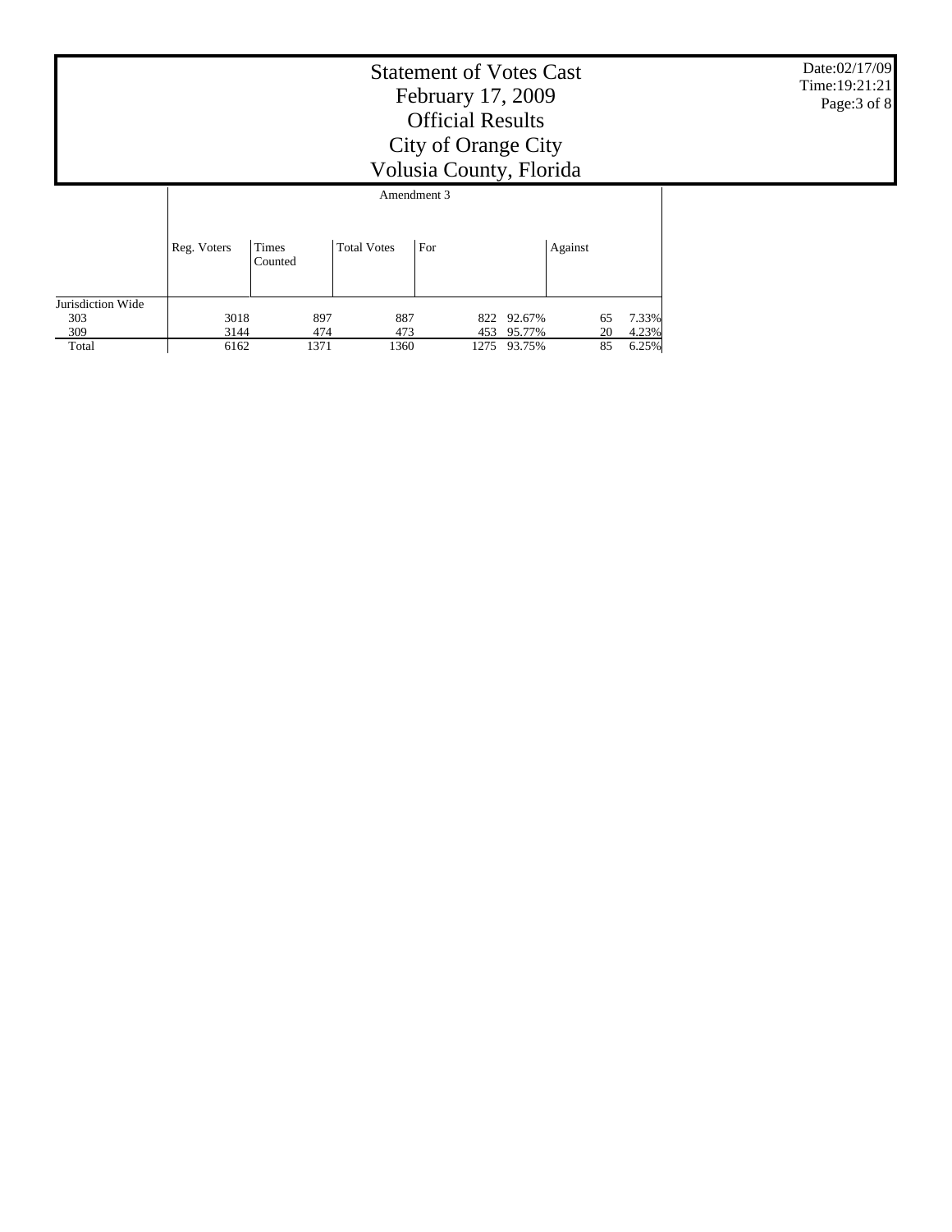|                                 | Date:02/17/09<br>Time: 19:21:21<br>Page: 3 of 8 |                  |                    |             |                  |          |                |  |
|---------------------------------|-------------------------------------------------|------------------|--------------------|-------------|------------------|----------|----------------|--|
|                                 |                                                 |                  |                    | Amendment 3 |                  |          |                |  |
|                                 | Reg. Voters                                     | Times<br>Counted | <b>Total Votes</b> | For         |                  | Against  |                |  |
| Jurisdiction Wide<br>303<br>309 | 3018<br>3144                                    | 897<br>474       | 887<br>473         | 822<br>453  | 92.67%<br>95.77% | 65<br>20 | 7.33%<br>4.23% |  |
| Total                           | 6162                                            | 1371             | 1360               |             | 1275 93.75%      | 85       | 6.25%          |  |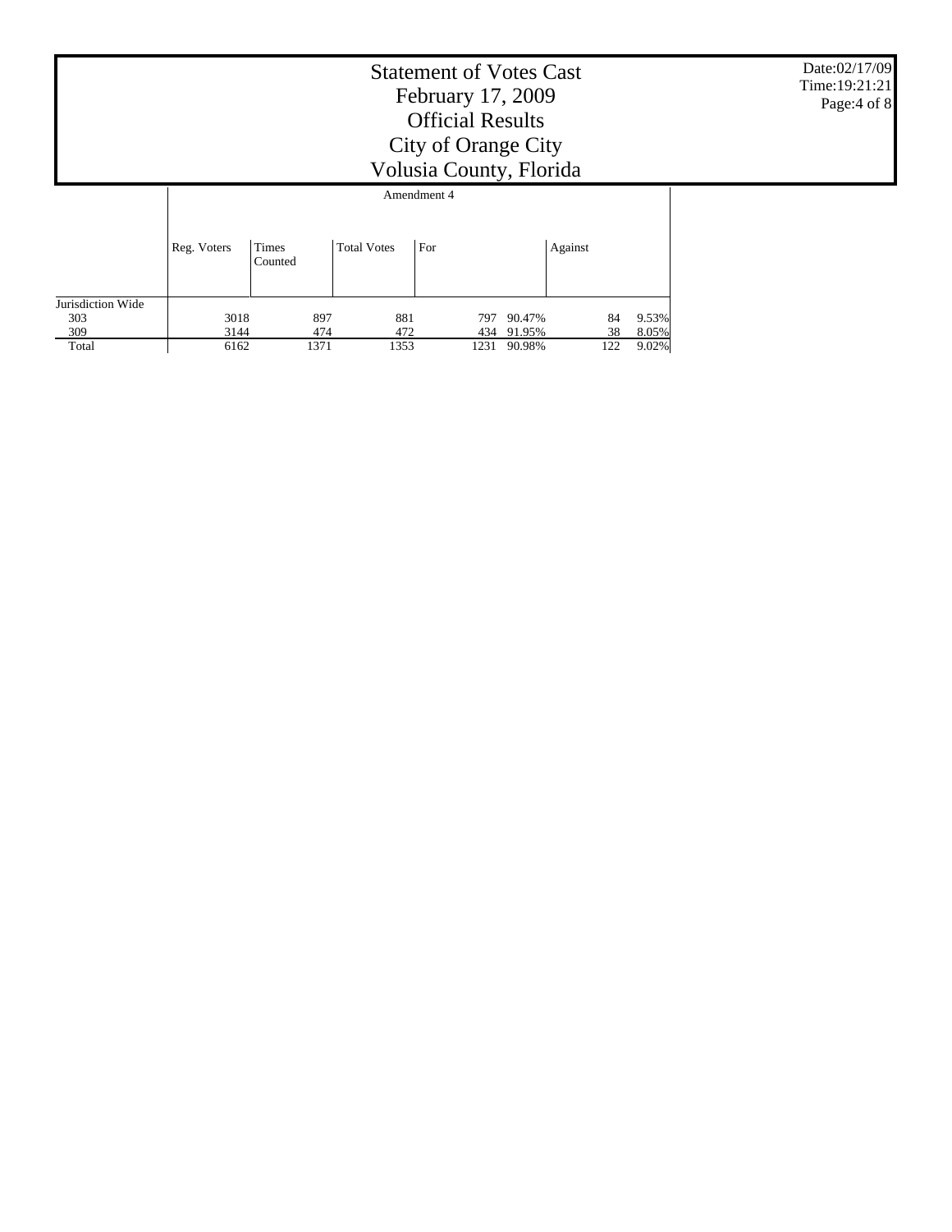|                   | Date:02/17/09<br>Time: 19:21:21<br>Page:4 of 8 |                  |                    |             |                      |          |                |  |
|-------------------|------------------------------------------------|------------------|--------------------|-------------|----------------------|----------|----------------|--|
|                   |                                                |                  |                    | Amendment 4 |                      |          |                |  |
|                   | Reg. Voters                                    | Times<br>Counted | <b>Total Votes</b> | For         |                      | Against  |                |  |
| Jurisdiction Wide |                                                |                  |                    |             |                      |          |                |  |
| 303<br>309        | 3018<br>3144                                   | 897<br>474       | 881<br>472         | 797         | 90.47%<br>434 91.95% | 84<br>38 | 9.53%<br>8.05% |  |
| Total             | 6162                                           | 1371             |                    |             |                      |          |                |  |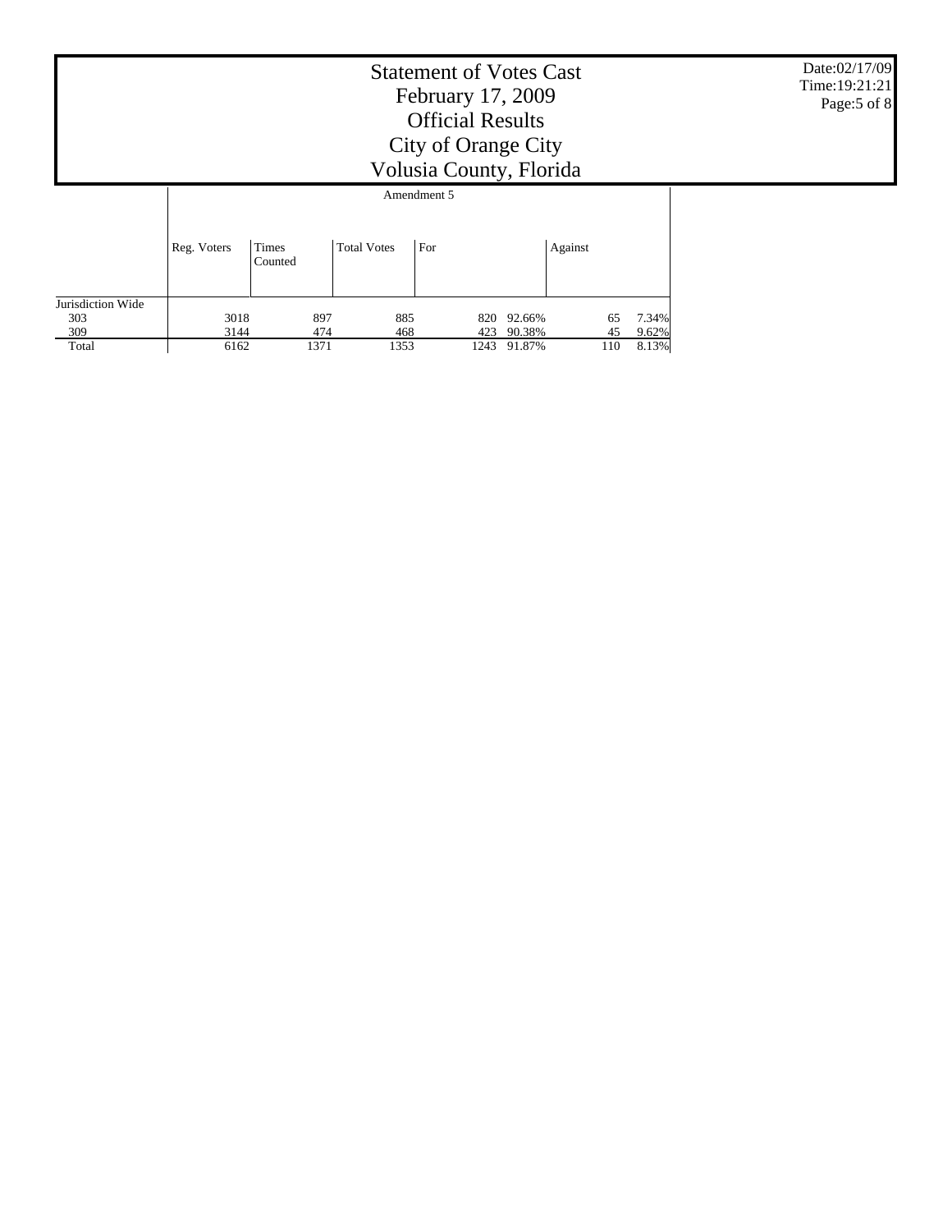|                   |              | Date:02/17/09<br>Time: 19:21:21<br>Page: 5 of 8 |                    |             |                  |          |                   |  |
|-------------------|--------------|-------------------------------------------------|--------------------|-------------|------------------|----------|-------------------|--|
|                   |              |                                                 |                    | Amendment 5 |                  |          |                   |  |
|                   | Reg. Voters  | Times<br>Counted                                | <b>Total Votes</b> | For         |                  | Against  |                   |  |
| Jurisdiction Wide |              |                                                 |                    |             |                  |          |                   |  |
| 303<br>309        | 3018<br>3144 | 897<br>474                                      | 885<br>468         | 820<br>423  | 92.66%<br>90.38% | 65<br>45 | 7.34%<br>$9.62\%$ |  |
| Total             | 6162         | 1371                                            | 8.13%              |             |                  |          |                   |  |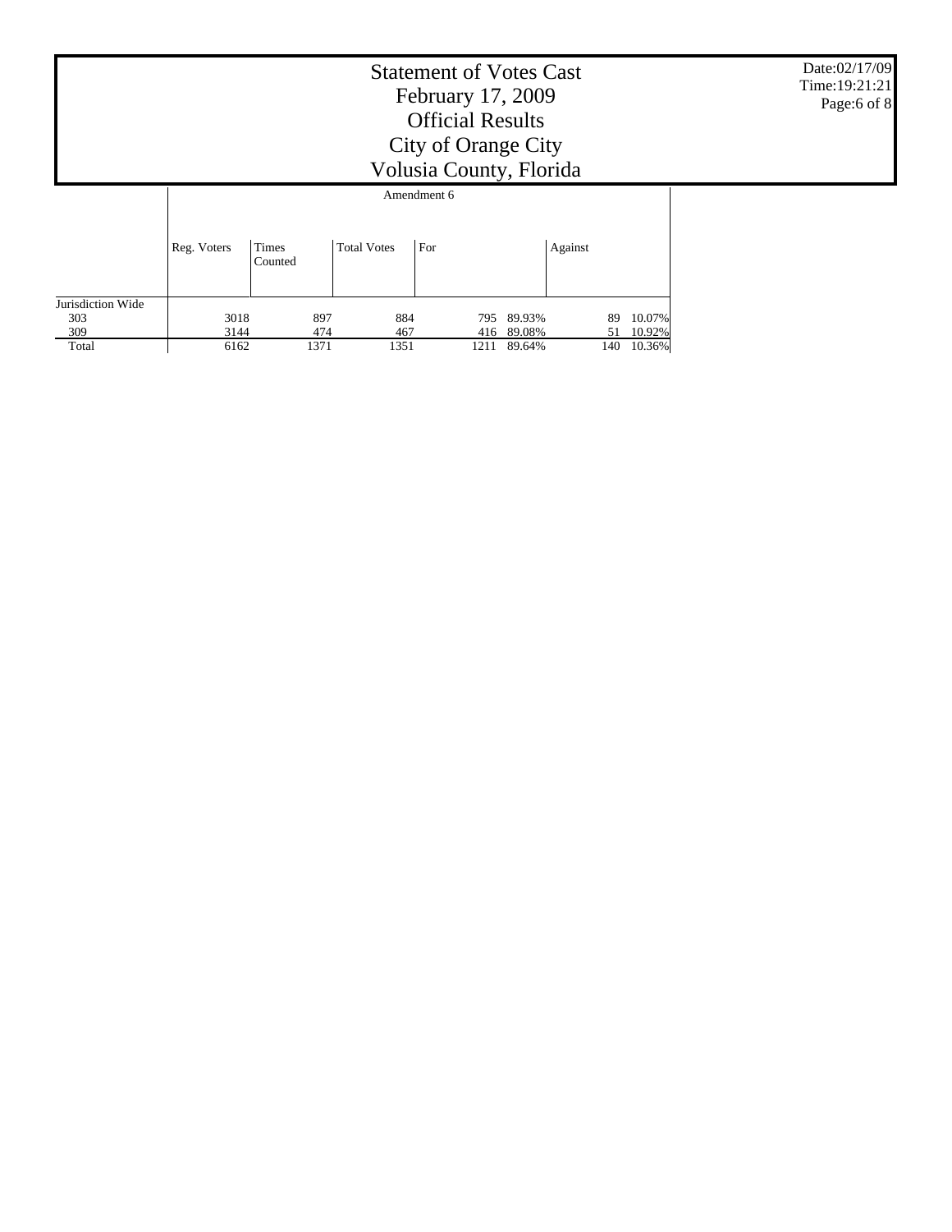|                   |              | Date:02/17/09<br>Time: 19:21:21<br>Page:6 of 8 |                    |             |                  |          |                  |  |
|-------------------|--------------|------------------------------------------------|--------------------|-------------|------------------|----------|------------------|--|
|                   |              |                                                |                    | Amendment 6 |                  |          |                  |  |
|                   | Reg. Voters  | Times<br>Counted                               | <b>Total Votes</b> | For         |                  | Against  |                  |  |
| Jurisdiction Wide |              |                                                |                    |             |                  |          |                  |  |
| 303<br>309        | 3018<br>3144 | 897<br>474                                     | 884<br>467         | 795<br>416  | 89.93%<br>89.08% | 89<br>51 | 10.07%<br>10.92% |  |
| Total             | 6162         | 1371                                           | 1351               | 1211        | 89.64%           | 140      | 10.36%           |  |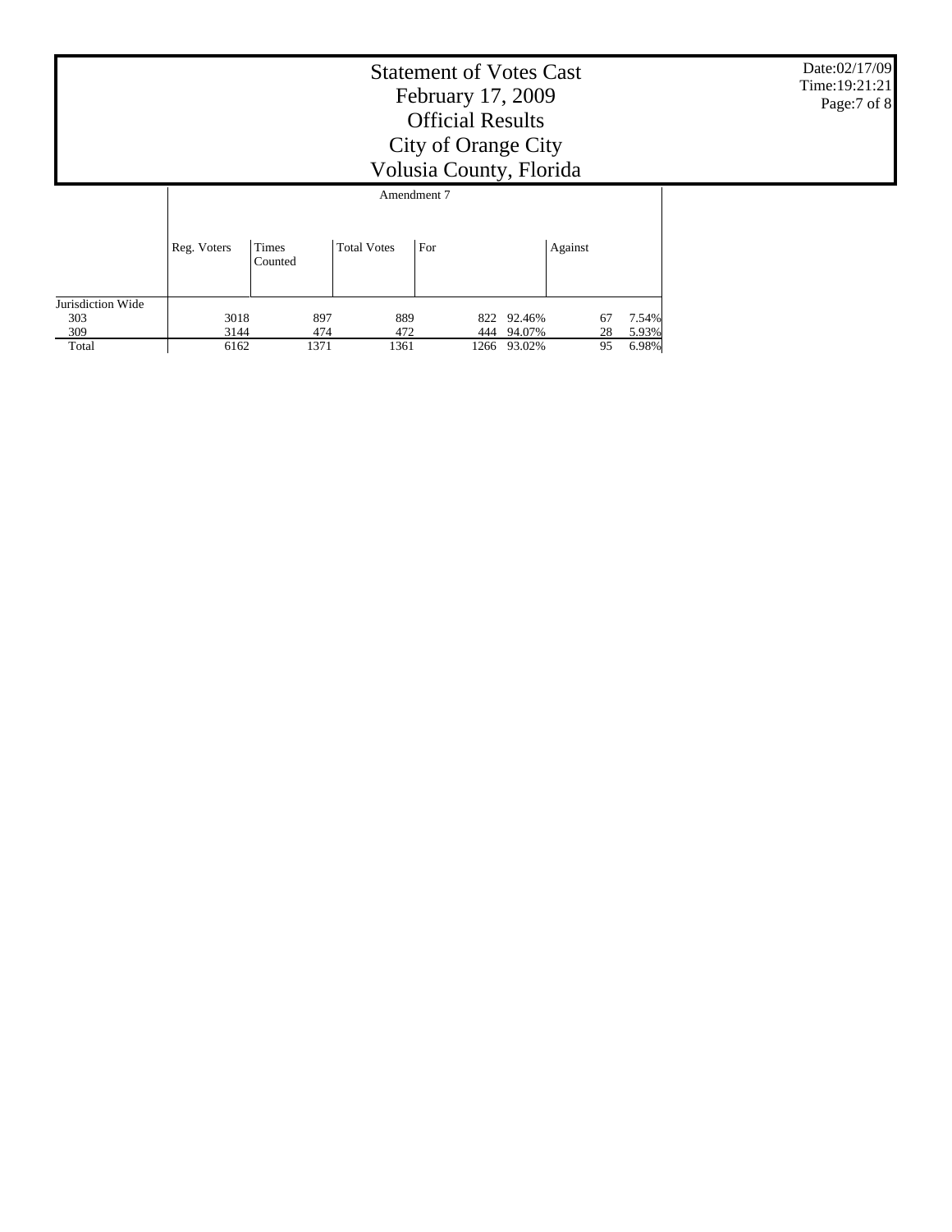Date:02/17/09 Time:19:21:21 Page:7 of 8

## Statement of Votes Cast February 17, 2009 Official Results City of Orange City Volusia County, Florida

|                   |             | Amendment 7      |                    |      |            |         |             |  |  |  |  |  |
|-------------------|-------------|------------------|--------------------|------|------------|---------|-------------|--|--|--|--|--|
|                   | Reg. Voters | Times<br>Counted | <b>Total Votes</b> | For  |            | Against |             |  |  |  |  |  |
| Jurisdiction Wide |             |                  |                    |      |            |         |             |  |  |  |  |  |
| 303               | 3018        | 897              | 889                |      | 822 92.46% |         | 7.54%<br>67 |  |  |  |  |  |
| 309               | 3144        | 474              | 472                | 444  | 94.07%     |         | 5.93%<br>28 |  |  |  |  |  |
| Total             | 6162        | 1371             | 1361               | 1266 | 93.02%     |         | 6.98%<br>95 |  |  |  |  |  |